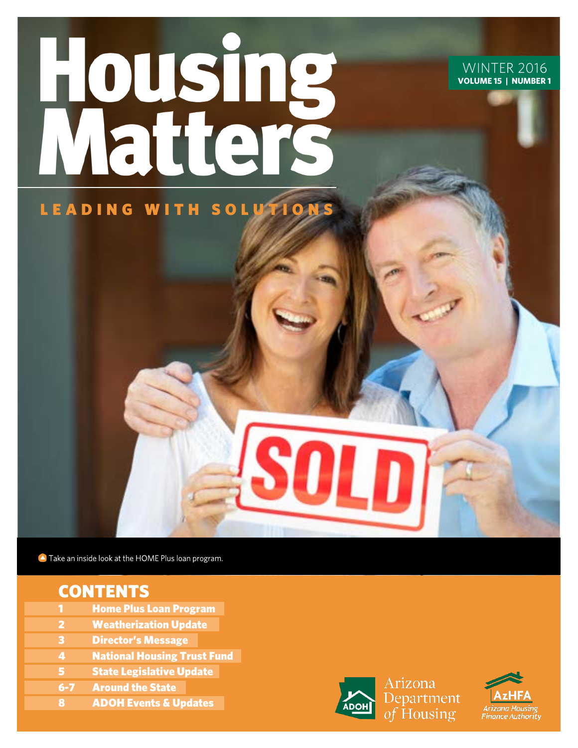# **Housing**<br>Matters LEADING WITH SOLUTIONS

#### **WINTER 2016 VOLUME 15 | NUMBER 1**

Take an inside look at the HOME Plus loan program.

# **CONTENTS**

- **Home Plus Loan Program**
- **Weatherization Update**
- 3 Director's Message
- **4** National Housing Trust Fund
- 5 State Legislative Update
- 6-7 Around the State
- 8 ADOH Events & Updates



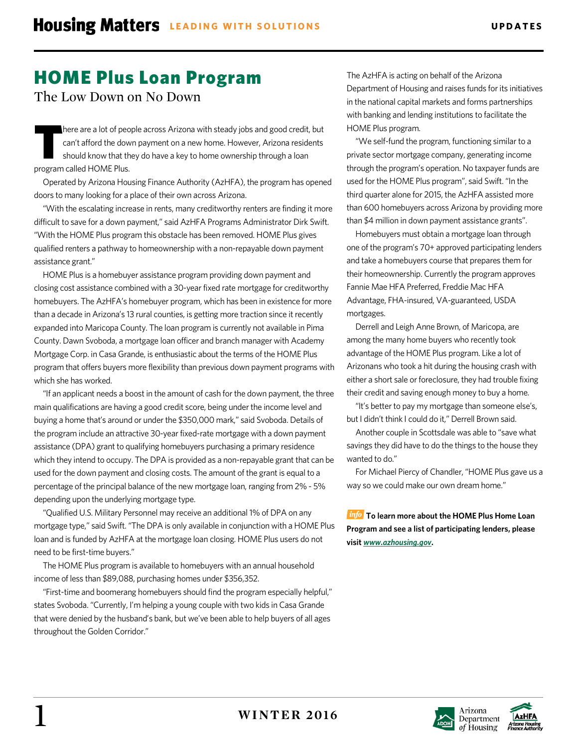# HOME Plus Loan Program

The Low Down on No Down

here are a lot of people across Arizona with steady jobs and good credit, but can't afford the down payment on a new home. However, Arizona residents should know that they do have a key to home ownership through a loan program called HOME Plus. T

Operated by Arizona Housing Finance Authority (AzHFA), the program has opened doors to many looking for a place of their own across Arizona.

"With the escalating increase in rents, many creditworthy renters are finding it more difficult to save for a down payment," said AzHFA Programs Administrator Dirk Swift. "With the HOME Plus program this obstacle has been removed. HOME Plus gives qualified renters a pathway to homeownership with a non-repayable down payment assistance grant."

HOME Plus is a homebuyer assistance program providing down payment and closing cost assistance combined with a 30-year fixed rate mortgage for creditworthy homebuyers. The AzHFA's homebuyer program, which has been in existence for more than a decade inArizona's 13 rural counties, is getting more traction since it recently expanded into Maricopa County. The loan program is currently not available in Pima County. Dawn Svoboda, a mortgage loan officer and branch manager with Academy Mortgage Corp. in Casa Grande, is enthusiastic about the terms of the HOME Plus program that offers buyers more flexibility than previous down payment programs with which she has worked.

"If an applicant needs a boost in the amount of cash for the down payment, the three main qualifications are having a good credit score, being under the income level and buying a home that's around or under the \$350,000 mark," said Svoboda. Details of the program include an attractive 30-year fixed-rate mortgage with a down payment assistance (DPA) grant to qualifying homebuyers purchasing a primary residence which they intend to occupy. The DPA is provided as a non-repayable grant that can be used for the down payment and closing costs. The amount of the grant is equal to a percentage of the principal balance of the new mortgage loan, ranging from 2% - 5% depending upon the underlying mortgage type.

"Qualified U.S. Military Personnel may receive an additional 1% of DPA on any mortgage type," said Swift. "The DPA is only available in conjunction with a HOME Plus loan and is funded by AzHFA at the mortgage loan closing. HOME Plus users do not need to be first-time buyers."

The HOME Plus program is available to homebuyers with an annual household income of less than \$89,088, purchasing homes under \$356,352.

"First-time and boomerang homebuyers should find the program especially helpful," states Svoboda. "Currently, I'm helping a young couple with two kids in Casa Grande that were denied by the husband's bank, but we've been able to help buyers of all ages throughout the Golden Corridor."

The AzHFA is acting on behalf of the Arizona Department of Housing and raises funds for its initiatives in the national capital markets and forms partnerships with banking and lending institutions to facilitate the HOME Plus program.

"We self-fund the program, functioning similar to a private sector mortgage company, generating income through the program's operation. No taxpayer funds are used for the HOME Plus program", said Swift. "In the third quarter alone for 2015, the AzHFA assisted more than 600 homebuyers across Arizona by providing more than \$4 million in down payment assistance grants".

Homebuyers must obtain a mortgage loan through one of the program's 70+ approved participating lenders and take a homebuyers course that prepares them for their homeownership. Currently the program approves Fannie Mae HFA Preferred, Freddie Mac HFA Advantage, FHA-insured, VA-guaranteed, USDA mortgages.

Derrell and Leigh Anne Brown, of Maricopa, are among the many home buyers who recently took advantage of the HOME Plus program. Like a lot of Arizonans who took a hit during the housing crash with either a short sale or foreclosure, they had trouble fixing their credit and saving enough money to buy a home.

"It's better to pay my mortgage than someone else's, but I didn't think I could do it," Derrell Brown said.

Another couple in Scottsdale was able to "save what savings they did have to do the things to the house they wanted to do."

For Michael Piercy of Chandler, "HOME Plus gave us a way so we could make our own dream home."

**To learn more about the HOME Plus Home Loan Program and see a list of participating lenders, please visit** *www.azhousing.gov***.**



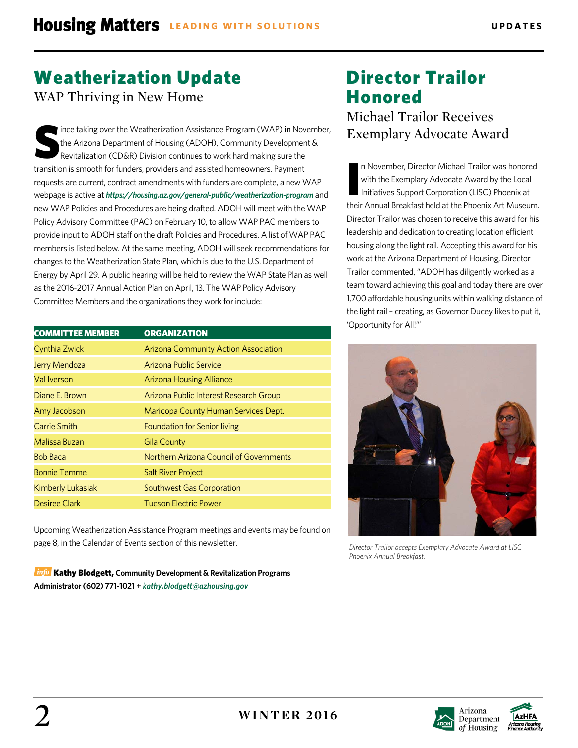# Weatherization Update

WAP Thriving in New Home

ince taking over the Weatherization Assistance Program (WAP) in November, the Arizona Department of Housing (ADOH), Community Development & Revitalization (CD&R) Division continues to work hard making sure the transition is smooth for funders, providers and assisted homeowners. Payment requests are current, contract amendments with funders are complete, a new WAP webpage is active at *<https://housing.az.gov/general-public/weatherization-program>* and new WAP Policies and Procedures are being drafted. ADOH will meet with the WAP Policy Advisory Committee (PAC) on February 10, to allow WAP PAC members to provide input to ADOH staff on the draft Policies and Procedures. A list of WAP PAC members is listed below. At the same meeting, ADOH will seek recommendations for changes to the Weatherization State Plan, which is due to the U.S. Department of Energy by April 29. A public hearing will be held to review the WAP State Plan as well as the 2016-2017 Annual Action Plan on April, 13. The WAP Policy Advisory Committee Members and the organizations they work for include: S

| <b>COMMITTEE MEMBER</b> | <b>ORGANIZATION</b>                         |
|-------------------------|---------------------------------------------|
|                         |                                             |
| Cynthia Zwick           | <b>Arizona Community Action Association</b> |
| Jerry Mendoza           | Arizona Public Service                      |
| Val Iverson             | <b>Arizona Housing Alliance</b>             |
| Diane E. Brown          | Arizona Public Interest Research Group      |
| Amy Jacobson            | Maricopa County Human Services Dept.        |
| Carrie Smith            | <b>Foundation for Senior living</b>         |
| Malissa Buzan           | Gila County                                 |
| <b>Bob Baca</b>         | Northern Arizona Council of Governments     |
| <b>Bonnie Temme</b>     | <b>Salt River Project</b>                   |
| Kimberly Lukasiak       | <b>Southwest Gas Corporation</b>            |
| Desiree Clark           | <b>Tucson Electric Power</b>                |

Upcoming Weatherization Assistance Program meetings and events may be found on page 8, in the Calendar of Events section of this newsletter.

**Info Kathy Blodgett, Community Development & Revitalization Programs Administrator (602) 771-1021 +** *[kathy.blodgett@azhousing.gov](mailto:kathy.blodgett@azhousing.gov)*

# Director Trailor Honored

Michael Trailor Receives Exemplary Advocate Award

n November, Director Michael Trailor was honored with the Exemplary Advocate Award by the Local Initiatives Support Corporation (LISC) Phoenix at their Annual Breakfast held at the Phoenix Art Museum. Director Trailor was chosen to receive this award for his leadership and dedication to creating location efficient housing along the light rail. Accepting this award for his work at the Arizona Department of Housing, Director Trailor commented, "ADOH has diligently worked as a team toward achieving this goal and today there are over 1,700 affordable housing units within walking distance of the light rail – creating, as Governor Ducey likes to put it, 'Opportunity for All!'" I



*Director Trailor accepts Exemplary Advocate Award at LISC Phoenix Annual Breakfast.*



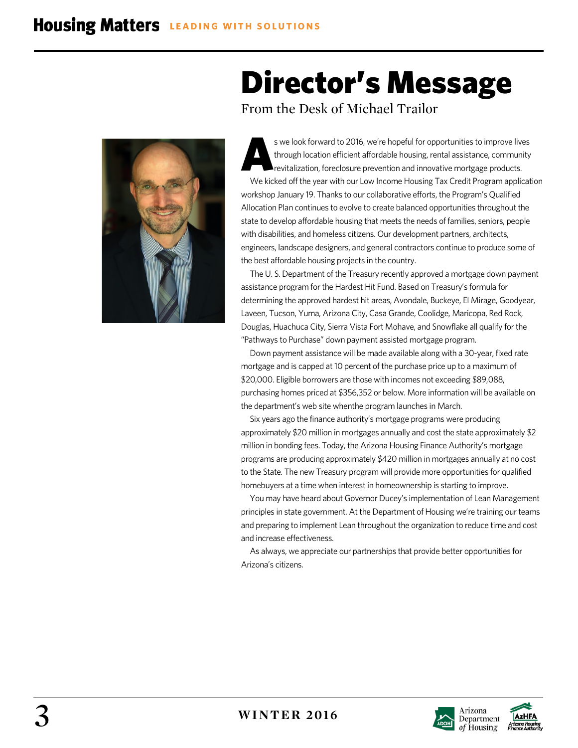

# Director's Message

From the Desk of Michael Trailor

s we look forward to 2016, we're hopeful for opportunities to improve lives through location efficient affordable housing, rental assistance, community revitalization, foreclosure prevention and innovative mortgage products. We kicked off the year with our Low Income Housing Tax Credit Program application workshop January 19. Thanks to our collaborative efforts, the Program's Qualified Allocation Plan continues to evolve to create balanced opportunities throughout the state to develop affordable housing that meets the needs of families, seniors, people with disabilities, and homeless citizens. Our development partners, architects, engineers, landscape designers, and general contractors continue to produce some of the best affordable housing projects in the country. A

The U. S. Department of the Treasury recently approved a mortgage down payment assistance program for the Hardest Hit Fund. Based on Treasury's formula for determining the approved hardest hit areas, Avondale, Buckeye, El Mirage, Goodyear, Laveen, Tucson, Yuma, Arizona City, Casa Grande, Coolidge, Maricopa, Red Rock, Douglas, Huachuca City, Sierra Vista Fort Mohave, and Snowflake all qualify for the "Pathways to Purchase" down payment assisted mortgage program.

Down payment assistance will be made available along with a 30-year, fixed rate mortgage and is capped at 10 percent of the purchase price up to a maximum of \$20,000. Eligible borrowers are those with incomes not exceeding \$89,088, purchasing homes priced at \$356,352 or below. More information will be available on the department's web site whenthe program launches in March.

Six years ago the finance authority's mortgage programs were producing approximately \$20 million in mortgages annually and cost the state approximately \$2 million in bonding fees. Today, the Arizona Housing Finance Authority's mortgage programs are producing approximately \$420 million in mortgages annually at no cost to the State. The new Treasury program will provide more opportunities for qualified homebuyers at a time when interest in homeownership is starting to improve.

You may have heard about Governor Ducey's implementation of Lean Management principles in state government. At the Department of Housing we're training our teams and preparing to implement Lean throughout the organization to reduce time and cost and increase effectiveness.

As always, we appreciate our partnerships that provide better opportunities for Arizona's citizens.



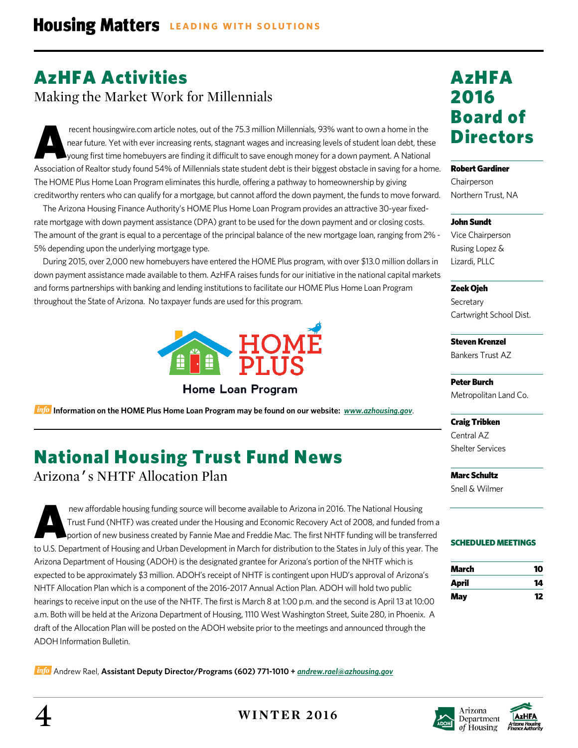# AzHFA Activities

Making the Market Work for Millennials

recent housingwire.com article notes, out of the 75.3 million Millennials, 93% want to own a home in the near future. Yet with ever increasing rents, stagnant wages and increasing levels of student loan debt, these young first time homebuyers are finding it difficult to save enough money for a down payment. A National Association of Realtor study found 54% of Millennials state student debt is their biggest obstacle in saving for a home. The HOME Plus Home Loan Program eliminates this hurdle, offering a pathway to homeownership by giving creditworthy renters who can qualify for a mortgage, but cannot afford the down payment, the funds to move forward. A

The Arizona Housing Finance Authority's HOME Plus Home Loan Program provides an attractive 30-year fixedrate mortgage with down payment assistance (DPA) grant to be used for the down payment and or closing costs. The amount of the grant is equal to a percentage of the principal balance of the new mortgage loan, ranging from 2% - 5% depending upon the underlying mortgage type.

During 2015, over 2,000 new homebuyers have entered the HOME Plus program, with over \$13.0 million dollars in down payment assistance made available to them. AzHFA raises funds for our initiative in the national capital markets and forms partnerships with banking and lending institutions to facilitate our HOME Plus Home Loan Program throughout the State of Arizona. No taxpayer funds are used for this program.



**Home Loan Program** 

**Information on the HOME Plus Home Loan Program may be found on our website:** *[www.azhousing.gov](http://www.azhousing.gov/)*.

# National Housing Trust Fund News

Arizona's NHTF Allocation Plan

new affordable housing funding source will become available to Arizona in 2016. The National Housing Trust Fund (NHTF) was created under the Housing and Economic Recovery Act of 2008, and funded from a portion of new business created by Fannie Mae and Freddie Mac. The first NHTF funding will be transferred to U.S. Department of Housing and Urban Development in March for distribution to the States in July of this year. The Arizona Department of Housing (ADOH) is the designated grantee for Arizona's portion of the NHTF which is expected to be approximately \$3 million. ADOH's receipt of NHTF is contingent upon HUD's approval of Arizona's NHTF Allocation Plan which is a component of the 2016-2017 Annual Action Plan. ADOH will hold two public hearings to receive input on the use of the NHTF. The first is March 8 at 1:00 p.m. and the second is April 13 at 10:00 a.m. Both will be held at the Arizona Department of Housing, 1110 West Washington Street, Suite 280, in Phoenix. A draft of the Allocation Plan will be posted on the ADOH website prior to the meetings and announced through the ADOH Information Bulletin. A

Andrew Rael, **Assistant Deputy Director/Programs (602) 771-1010 +** *[andrew.rael@azhousing.gov](mailto:andrew.rael@azhousing.gov)*

# AzHFA 2016 Board of **Directors**

#### Robert Gardiner

Chairperson Northern Trust, NA

#### John Sundt

Vice Chairperson Rusing Lopez & Lizardi, PLLC

Zeek Ojeh **Secretary** 

Cartwright School Dist.

Steven Krenzel Bankers Trust AZ

Peter Burch Metropolitan Land Co.

Craig Tribken Central AZ Shelter Services

Marc Schultz Snell & Wilmer

#### SCHEDULED MEETINGS

| March | 10 |
|-------|----|
| April | 14 |
| May   | 12 |







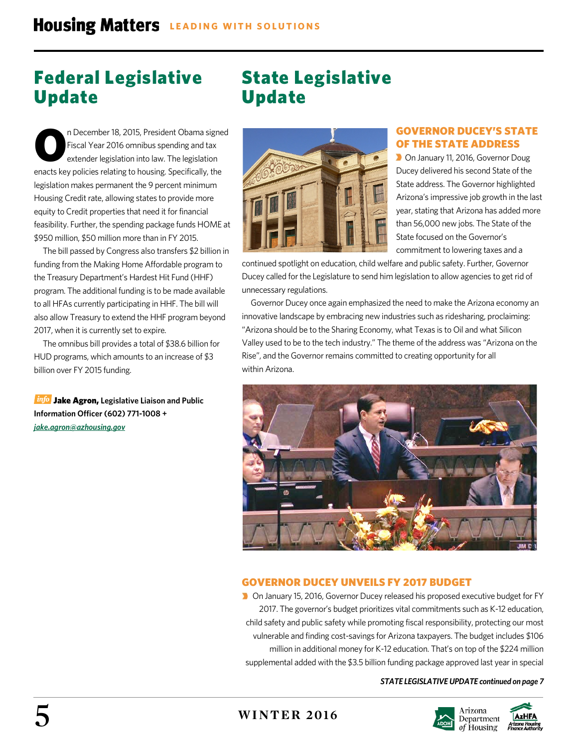# Federal Legislative Update

# State Legislative Update

n December 18, 2015, President Obama signed Fiscal Year 2016 omnibus spending and tax extender legislation into law. The legislation enacts key policies relating to housing. Specifically, the legislation makes permanent the 9 percent minimum Housing Credit rate, allowing states to provide more equity to Credit properties that need it for financial feasibility. Further, the spending package funds HOME at \$950 million, \$50 million more than in FY 2015. O

The bill passed by Congress also transfers \$2 billion in funding from the Making Home Affordable program to the Treasury Department's Hardest Hit Fund (HHF) program. The additional funding is to be made available to all HFAs currently participating in HHF. The bill will also allow Treasury to extend the HHF program beyond 2017, when it is currently set to expire.

The omnibus bill provides a total of \$38.6 billion for HUD programs, which amounts to an increase of \$3 billion over FY 2015 funding.

**Info** Jake Agron, Legislative Liaison and Public **Information Officer (602) 771-1008 +** *[jake.agron@azhousing.gov](mailto:jake.agron@azhousing.gov)*



#### GOVERNOR DUCEY'S STATE OF THE STATE ADDRESS

**D** On January 11, 2016, Governor Doug Ducey delivered his second State of the State address. The Governor highlighted Arizona's impressive job growth in the last year, stating that Arizona has added more than 56,000 new jobs. The State of the State focused on the Governor's commitment to lowering taxes and a

continued spotlight on education, child welfare and public safety. Further, Governor Ducey called for the Legislature to send him legislation to allow agencies to get rid of unnecessary regulations.

Governor Ducey once again emphasized the need to make the Arizona economy an innovative landscape by embracing new industries such as ridesharing, proclaiming: "Arizona should be to the Sharing Economy, what Texas is to Oil and what Silicon Valley used to be to the tech industry." The theme of the address was "Arizona on the Rise", and the Governor remains committed to creating opportunity for all within Arizona.



#### GOVERNOR DUCEY UNVEILS FY 2017 BUDGET

■ On January 15, 2016, Governor Ducey released his proposed executive budget for FY 2017. The governor's budget prioritizes vital commitments such as K-12 education, child safety and public safety while promoting fiscal responsibility, protecting our most vulnerable and finding cost-savings for Arizona taxpayers. The budget includes \$106 million in additional money for K-12 education. That's on top of the \$224 million supplemental added with the \$3.5 billion funding package approved last year in special

#### *STATE LEGISLATIVE UPDATE continued on page 7*



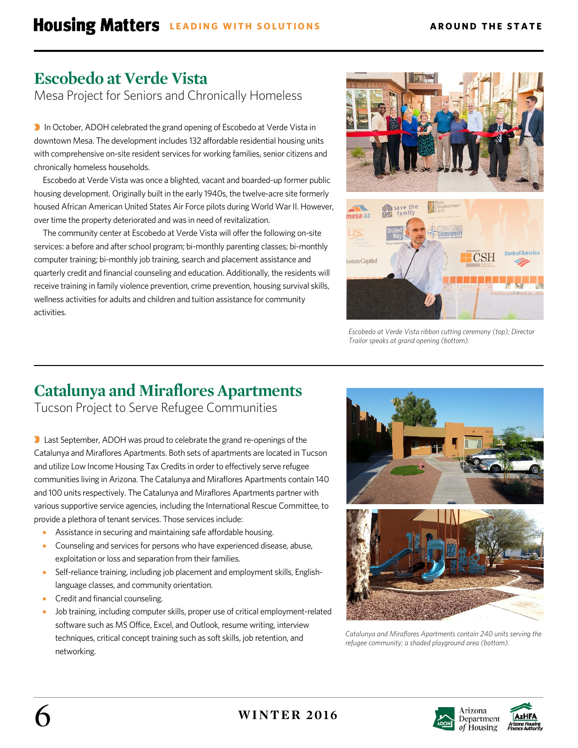# **Escobedo at Verde Vista**

Mesa Project for Seniors and Chronically Homeless

In October, ADOH celebrated the grand opening of Escobedo at Verde Vista in downtown Mesa. The development includes 132 affordable residential housing units with comprehensive on-site resident services for working families, senior citizens and chronically homeless households.

Escobedo at Verde Vista was once a blighted, vacant and boarded-up former public housing development. Originally built in the early 1940s, the twelve-acre site formerly housed African American United States Air Force pilots during World War II. However, over time the property deteriorated and was in need of revitalization.

The community center at Escobedo at Verde Vista will offer the following on-site services: a before and after school program; bi-monthly parenting classes; bi-monthly computer training; bi-monthly job training, search and placement assistance and quarterly credit and financial counseling and education. Additionally, the residents will receive training in family violence prevention, crime prevention, housing survival skills, wellness activities for adults and children and tuition assistance for community activities.





# **Catalunya and Miraflores Apartments**

Tucson Project to Serve Refugee Communities

**D** Last September, ADOH was proud to celebrate the grand re-openings of the Catalunya and Miraflores Apartments. Both sets of apartments are located in Tucson and utilize Low Income Housing Tax Credits in order to effectively serve refugee communities living in Arizona. The Catalunya and Miraflores Apartments contain 140 and 100 units respectively. The Catalunya and Miraflores Apartments partner with various supportive service agencies, including the International Rescue Committee, to provide a plethora of tenant services. Those services include:

- Assistance in securing and maintaining safe affordable housing.
- Counseling and services for persons who have experienced disease, abuse, exploitation or loss and separation from their families.
- Self-reliance training, including job placement and employment skills, Englishlanguage classes, and community orientation.
- Credit and financial counseling.
- Job training, including computer skills, proper use of critical employment-related software such as MS Office, Excel, and Outlook, resume writing, interview techniques, critical concept training such as soft skills, job retention, and networking.



*Catalunya and Miraflores Apartments contain 240 units serving the refugee community; a shaded playground area (bottom).*



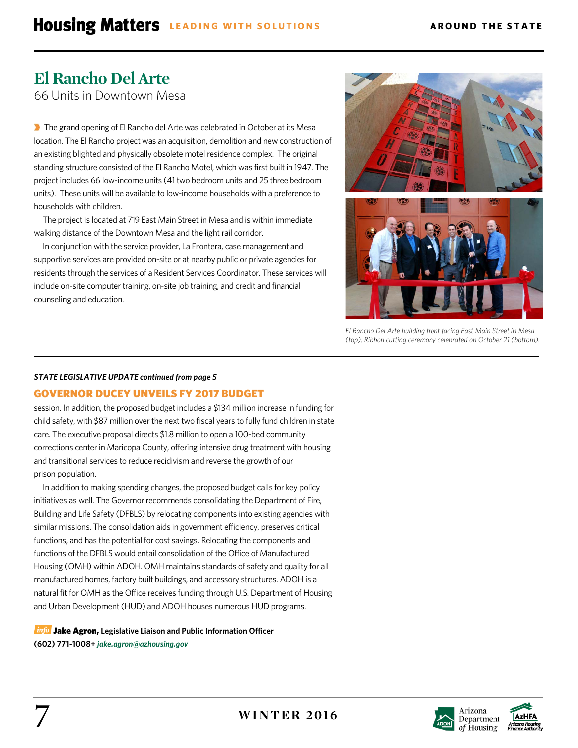## **El Rancho Del Arte** 66 Units in Downtown Mesa

**The grand opening of El Rancho del Arte was celebrated in October at its Mesa** location. The El Rancho project was an acquisition, demolition and new construction of an existing blighted and physically obsolete motel residence complex. The original standing structure consisted of the El Rancho Motel, which was first built in 1947. The project includes 66 low-income units (41 two bedroom units and 25 three bedroom units). These units will be available to low-income households with a preference to households with children.

The project is located at 719 East Main Street in Mesa and is within immediate walking distance of the Downtown Mesa and the light rail corridor.

In conjunction with the service provider, La Frontera, case management and supportive services are provided on-site or at nearby public or private agencies for residents through the services of a Resident Services Coordinator. These services will include on-site computer training, on-site job training, and credit and financial counseling and education.



*El Rancho Del Arte building front facing East Main Street in Mesa (top); Ribbon cutting ceremony celebrated on October 21 (bottom).*

#### *STATE LEGISLATIVE UPDATE continued from page 5*

#### GOVERNOR DUCEY UNVEILS FY 2017 BUDGET

session. In addition, the proposed budget includes a \$134 million increase in funding for child safety, with \$87 million over the next two fiscal years to fully fund children in state care. The executive proposal directs \$1.8 million to open a 100-bed community corrections center in Maricopa County, offering intensive drug treatment with housing and transitional services to reduce recidivism and reverse the growth of our prison population.

In addition to making spending changes, the proposed budget calls for key policy initiatives as well. The Governor recommends consolidating the Department of Fire, Building and Life Safety (DFBLS) by relocating components into existing agencies with similar missions. The consolidation aids in government efficiency, preserves critical functions, and has the potential for cost savings. Relocating the components and functions of the DFBLS would entail consolidation of the Office of Manufactured Housing (OMH) within ADOH. OMH maintains standards of safety and quality for all manufactured homes, factory built buildings, and accessory structures. ADOH is a natural fit for OMH as the Office receives funding through U.S. Department of Housing and Urban Development (HUD) and ADOH houses numerous HUD programs.

**Info** Jake Agron, Legislative Liaison and Public Information Officer **(602) 771-1008+** *[jake.agron@azhousing.gov](mailto:jake.agron@azhousing.gov)*



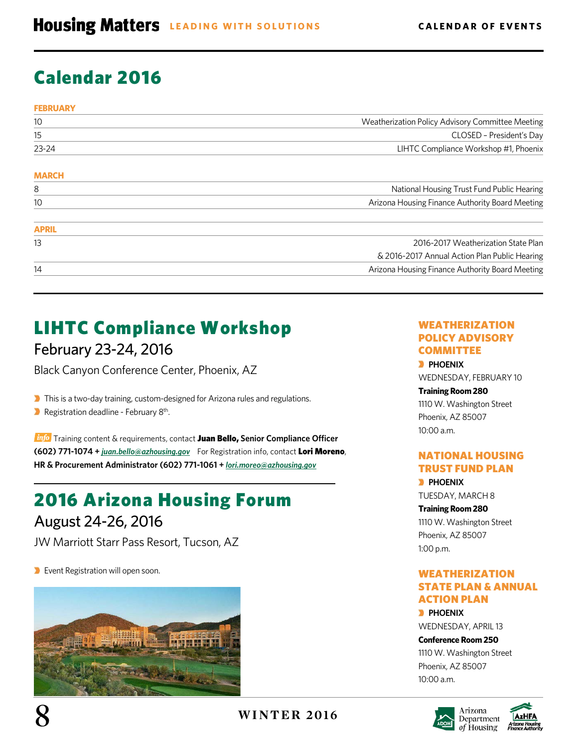# Calendar 2016

| <b>FEBRUARY</b> |                                                  |
|-----------------|--------------------------------------------------|
| 10              | Weatherization Policy Advisory Committee Meeting |
| 15              | CLOSED - President's Day                         |
| 23-24           | LIHTC Compliance Workshop #1, Phoenix            |
| <b>MARCH</b>    |                                                  |
| 8               | National Housing Trust Fund Public Hearing       |
| 10              | Arizona Housing Finance Authority Board Meeting  |
| <b>APRIL</b>    |                                                  |
| 13              | 2016-2017 Weatherization State Plan              |
|                 | & 2016-2017 Annual Action Plan Public Hearing    |
| 14              | Arizona Housing Finance Authority Board Meeting  |

# LIHTC Compliance Workshop

## February 23-24, 2016

Black Canyon Conference Center, Phoenix, AZ

**This is a two-day training, custom-designed for Arizona rules and regulations.** 

**Registration deadline - February 8th.** 

**Info** Training content & requirements, contact Juan Bello, Senior Compliance Officer **(602) 771-1074 +** *[juan.bello@azhousing.gov](mailto:juan.bello@azhousing.gov)* For Registration info, contact Lori Moreno, **HR & Procurement Administrator (602) 771-1061 +** *lori.moreo@azhousing.gov* 

# 2016 Arizona Housing Forum

## August 24-26, 2016

JW Marriott Starr Pass Resort, Tucson, AZ

**Event Registration will open soon.** 



#### WEATHERIZATION POLICY ADVISORY **COMMITTEE**

**PHOENIX** WEDNESDAY, FEBRUARY 10

#### **Training Room 280** 1110 W. Washington Street Phoenix, AZ 85007 10:00 a.m.

#### NATIONAL HOUSING TRUST FUND PLAN

**PHOENIX** TUESDAY, MARCH 8

**Training Room 280** 1110 W. Washington Street Phoenix, AZ 85007 1:00 p.m.

#### WEATHERIZATION STATE PLAN & ANNUAL ACTION PLAN

**PHOENIX** WEDNESDAY, APRIL 13

**Conference Room 250** 1110 W. Washington Street Phoenix, AZ 85007 10:00 a.m.